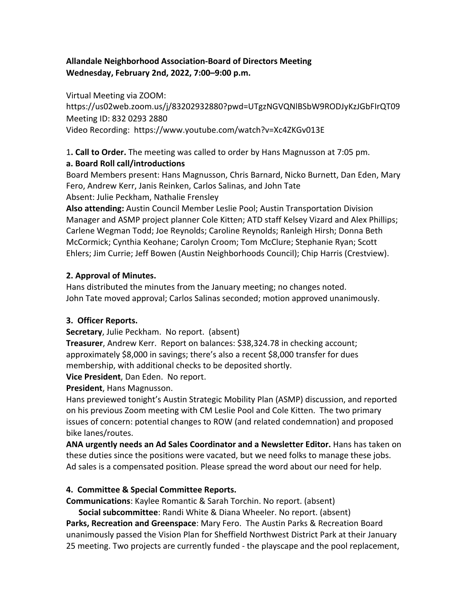# **Allandale Neighborhood Association-Board of Directors Meeting Wednesday, February 2nd, 2022, 7:00–9:00 p.m.**

Virtual Meeting via ZOOM:

https://us02web.zoom.us/j/83202932880?pwd=UTgzNGVQNlBSbW9RODJyKzJGbFIrQT09 Meeting ID: 832 0293 2880 Video Recording: https://www.youtube.com/watch?v=Xc4ZKGv013E

1**. Call to Order.** The meeting was called to order by Hans Magnusson at 7:05 pm.

## **a. Board Roll call/introductions**

Board Members present: Hans Magnusson, Chris Barnard, Nicko Burnett, Dan Eden, Mary Fero, Andrew Kerr, Janis Reinken, Carlos Salinas, and John Tate Absent: Julie Peckham, Nathalie Frensley

**Also attending:** Austin Council Member Leslie Pool; Austin Transportation Division Manager and ASMP project planner Cole Kitten; ATD staff Kelsey Vizard and Alex Phillips; Carlene Wegman Todd; Joe Reynolds; Caroline Reynolds; Ranleigh Hirsh; Donna Beth McCormick; Cynthia Keohane; Carolyn Croom; Tom McClure; Stephanie Ryan; Scott Ehlers; Jim Currie; Jeff Bowen (Austin Neighborhoods Council); Chip Harris (Crestview).

# **2. Approval of Minutes.**

Hans distributed the minutes from the January meeting; no changes noted. John Tate moved approval; Carlos Salinas seconded; motion approved unanimously.

# **3. Officer Reports.**

**Secretary**, Julie Peckham. No report. (absent)

**Treasurer**, Andrew Kerr. Report on balances: \$38,324.78 in checking account; approximately \$8,000 in savings; there's also a recent \$8,000 transfer for dues membership, with additional checks to be deposited shortly.

**Vice President**, Dan Eden. No report.

**President**, Hans Magnusson.

Hans previewed tonight's Austin Strategic Mobility Plan (ASMP) discussion, and reported on his previous Zoom meeting with CM Leslie Pool and Cole Kitten. The two primary issues of concern: potential changes to ROW (and related condemnation) and proposed bike lanes/routes.

**ANA urgently needs an Ad Sales Coordinator and a Newsletter Editor.** Hans has taken on these duties since the positions were vacated, but we need folks to manage these jobs. Ad sales is a compensated position. Please spread the word about our need for help.

# **4. Committee & Special Committee Reports.**

**Communications**: Kaylee Romantic & Sarah Torchin. No report. (absent)

**Social subcommittee**: Randi White & Diana Wheeler. No report. (absent)

**Parks, Recreation and Greenspace**: Mary Fero. The Austin Parks & Recreation Board unanimously passed the Vision Plan for Sheffield Northwest District Park at their January 25 meeting. Two projects are currently funded - the playscape and the pool replacement,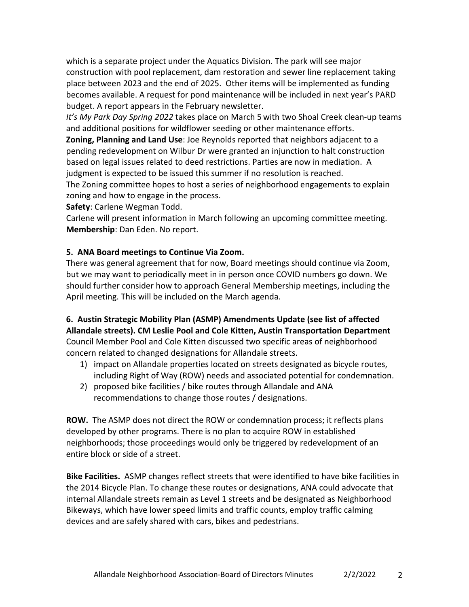which is a separate project under the Aquatics Division. The park will see major construction with pool replacement, dam restoration and sewer line replacement taking place between 2023 and the end of 2025. Other items will be implemented as funding becomes available. A request for pond maintenance will be included in next year's PARD budget. A report appears in the February newsletter.

*It's My Park Day Spring 2022* takes place on March 5 with two Shoal Creek clean-up teams and additional positions for wildflower seeding or other maintenance efforts.

**Zoning, Planning and Land Use**: Joe Reynolds reported that neighbors adjacent to a pending redevelopment on Wilbur Dr were granted an injunction to halt construction based on legal issues related to deed restrictions. Parties are now in mediation. A judgment is expected to be issued this summer if no resolution is reached.

The Zoning committee hopes to host a series of neighborhood engagements to explain zoning and how to engage in the process.

**Safety**: Carlene Wegman Todd.

Carlene will present information in March following an upcoming committee meeting. **Membership**: Dan Eden. No report.

## **5. ANA Board meetings to Continue Via Zoom.**

There was general agreement that for now, Board meetings should continue via Zoom, but we may want to periodically meet in in person once COVID numbers go down. We should further consider how to approach General Membership meetings, including the April meeting. This will be included on the March agenda.

# **6. Austin Strategic Mobility Plan (ASMP) Amendments Update (see list of affected Allandale streets). CM Leslie Pool and Cole Kitten, Austin Transportation Department**

Council Member Pool and Cole Kitten discussed two specific areas of neighborhood concern related to changed designations for Allandale streets.

- 1) impact on Allandale properties located on streets designated as bicycle routes, including Right of Way (ROW) needs and associated potential for condemnation.
- 2) proposed bike facilities / bike routes through Allandale and ANA recommendations to change those routes / designations.

**ROW.** The ASMP does not direct the ROW or condemnation process; it reflects plans developed by other programs. There is no plan to acquire ROW in established neighborhoods; those proceedings would only be triggered by redevelopment of an entire block or side of a street.

**Bike Facilities.** ASMP changes reflect streets that were identified to have bike facilities in the 2014 Bicycle Plan. To change these routes or designations, ANA could advocate that internal Allandale streets remain as Level 1 streets and be designated as Neighborhood Bikeways, which have lower speed limits and traffic counts, employ traffic calming devices and are safely shared with cars, bikes and pedestrians.